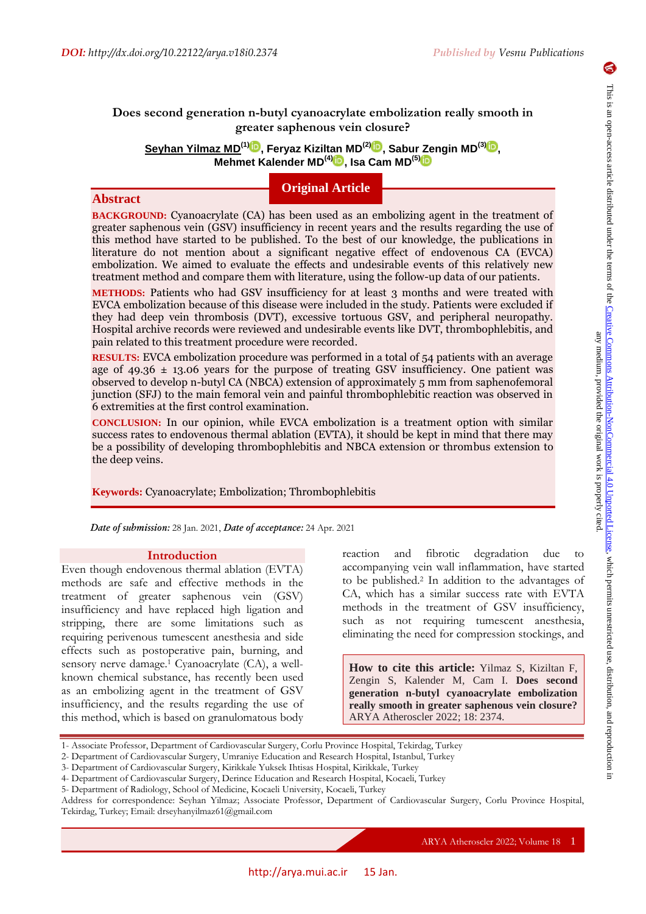# **Does second generation n-butyl cyanoacrylate embolization really smooth in greater saphenous vein closure?**

**Seyhan Yilmaz MD(1) , Feryaz Kiziltan MD(2[\)](https://orcid.org/0000-0003-1113-4605) , Sabur Zengin MD(3) [,](https://orcid.org/0000-0003-4966-2681) Mehmet Kalender MD(4[\)](https://orcid.org/0000-0002-8984-4028) , Isa Cam MD(5)**

# **Original Article**

**Abstract**

**BACKGROUND:** Cyanoacrylate (CA) has been used as an embolizing agent in the treatment of greater saphenous vein (GSV) insufficiency in recent years and the results regarding the use of this method have started to be published. To the best of our knowledge, the publications in literature do not mention about a significant negative effect of endovenous CA (EVCA) embolization. We aimed to evaluate the effects and undesirable events of this relatively new treatment method and compare them with literature, using the follow-up data of our patients.

**METHODS:** Patients who had GSV insufficiency for at least 3 months and were treated with EVCA embolization because of this disease were included in the study. Patients were excluded if they had deep vein thrombosis (DVT), excessive tortuous GSV, and peripheral neuropathy. Hospital archive records were reviewed and undesirable events like DVT, thrombophlebitis, and pain related to this treatment procedure were recorded.

**RESULTS:** EVCA embolization procedure was performed in a total of 54 patients with an average age of  $49.36 \pm 13.06$  years for the purpose of treating GSV insufficiency. One patient was observed to develop n-butyl CA (NBCA) extension of approximately 5 mm from saphenofemoral junction (SFJ) to the main femoral vein and painful thrombophlebitic reaction was observed in 6 extremities at the first control examination.

**CONCLUSION:** In our opinion, while EVCA embolization is a treatment option with similar success rates to endovenous thermal ablation (EVTA), it should be kept in mind that there may be a possibility of developing thrombophlebitis and NBCA extension or thrombus extension to the deep veins.

**Keywords:** Cyanoacrylate; Embolization; Thrombophlebitis

*Date of submission:* 28 Jan. 2021, *Date of acceptance:* 24 Apr. 2021

#### **Introduction**

Even though endovenous thermal ablation (EVTA) methods are safe and effective methods in the treatment of greater saphenous vein (GSV) insufficiency and have replaced high ligation and stripping, there are some limitations such as requiring perivenous tumescent anesthesia and side effects such as postoperative pain, burning, and sensory nerve damage.<sup>1</sup> Cyanoacrylate (CA), a wellknown chemical substance, has recently been used as an embolizing agent in the treatment of GSV insufficiency, and the results regarding the use of this method, which is based on granulomatous body reaction and fibrotic degradation due to accompanying vein wall inflammation, have started to be published.<sup>2</sup> In addition to the advantages of CA, which has a similar success rate with EVTA methods in the treatment of GSV insufficiency, such as not requiring tumescent anesthesia, eliminating the need for compression stockings, and

**How to cite this article:** Yilmaz S, Kiziltan F, Zengin S, Kalender M, Cam I. **Does second generation n-butyl cyanoacrylate embolization really smooth in greater saphenous vein closure?** ARYA Atheroscler 2022; 18: 2374.

ARYA Atheroscler 2022; Volume 18 1

<sup>1-</sup> Associate Professor, Department of Cardiovascular Surgery, Corlu Province Hospital, Tekirdag, Turkey

<sup>2-</sup> Department of Cardiovascular Surgery, Umraniye Education and Research Hospital, Istanbul, Turkey

<sup>3-</sup> Department of Cardiovascular Surgery, Kirikkale Yuksek Ihtisas Hospital, Kirikkale, Turkey

<sup>4-</sup> Department of Cardiovascular Surgery, Derince Education and Research Hospital, Kocaeli, Turkey

<sup>5-</sup> Department of Radiology, School of Medicine, Kocaeli University, Kocaeli, Turkey

Address for correspondence: Seyhan Yilmaz; Associate Professor, Department of Cardiovascular Surgery, Corlu Province Hospital, Tekirdag, Turkey; Email: drseyhanyilmaz61@gmail.com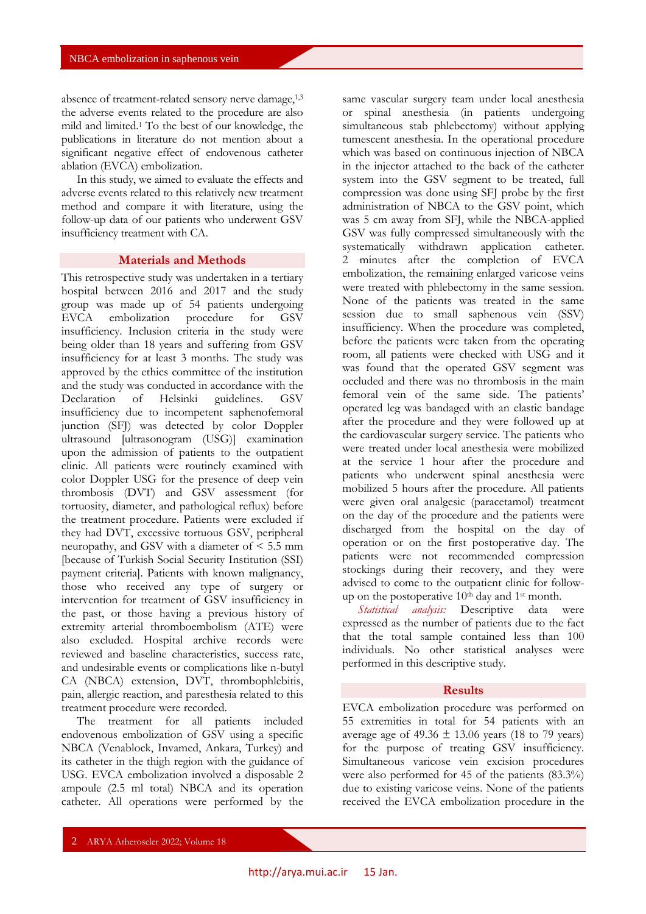absence of treatment-related sensory nerve damage,1,3 the adverse events related to the procedure are also mild and limited.<sup>1</sup> To the best of our knowledge, the publications in literature do not mention about a significant negative effect of endovenous catheter ablation (EVCA) embolization.

In this study, we aimed to evaluate the effects and adverse events related to this relatively new treatment method and compare it with literature, using the follow-up data of our patients who underwent GSV insufficiency treatment with CA.

### **Materials and Methods**

This retrospective study was undertaken in a tertiary hospital between 2016 and 2017 and the study group was made up of 54 patients undergoing<br>EVCA embolization procedure for GSV EVCA embolization insufficiency. Inclusion criteria in the study were being older than 18 years and suffering from GSV insufficiency for at least 3 months. The study was approved by the ethics committee of the institution and the study was conducted in accordance with the Declaration of Helsinki guidelines. GSV insufficiency due to incompetent saphenofemoral junction (SFJ) was detected by color Doppler ultrasound [ultrasonogram (USG)] examination upon the admission of patients to the outpatient clinic. All patients were routinely examined with color Doppler USG for the presence of deep vein thrombosis (DVT) and GSV assessment (for tortuosity, diameter, and pathological reflux) before the treatment procedure. Patients were excluded if they had DVT, excessive tortuous GSV, peripheral neuropathy, and GSV with a diameter of < 5.5 mm [because of Turkish Social Security Institution (SSI) payment criteria]. Patients with known malignancy, those who received any type of surgery or intervention for treatment of GSV insufficiency in the past, or those having a previous history of extremity arterial thromboembolism (ATE) were also excluded. Hospital archive records were reviewed and baseline characteristics, success rate, and undesirable events or complications like n-butyl CA (NBCA) extension, DVT, thrombophlebitis, pain, allergic reaction, and paresthesia related to this treatment procedure were recorded.

The treatment for all patients included endovenous embolization of GSV using a specific NBCA (Venablock, Invamed, Ankara, Turkey) and its catheter in the thigh region with the guidance of USG. EVCA embolization involved a disposable 2 ampoule (2.5 ml total) NBCA and its operation catheter. All operations were performed by the

same vascular surgery team under local anesthesia or spinal anesthesia (in patients undergoing simultaneous stab phlebectomy) without applying tumescent anesthesia. In the operational procedure which was based on continuous injection of NBCA in the injector attached to the back of the catheter system into the GSV segment to be treated, full compression was done using SFJ probe by the first administration of NBCA to the GSV point, which was 5 cm away from SFJ, while the NBCA-applied GSV was fully compressed simultaneously with the systematically withdrawn application catheter. 2 minutes after the completion of EVCA embolization, the remaining enlarged varicose veins were treated with phlebectomy in the same session. None of the patients was treated in the same session due to small saphenous vein (SSV) insufficiency. When the procedure was completed, before the patients were taken from the operating room, all patients were checked with USG and it was found that the operated GSV segment was occluded and there was no thrombosis in the main femoral vein of the same side. The patients' operated leg was bandaged with an elastic bandage after the procedure and they were followed up at the cardiovascular surgery service. The patients who were treated under local anesthesia were mobilized at the service 1 hour after the procedure and patients who underwent spinal anesthesia were mobilized 5 hours after the procedure. All patients were given oral analgesic (paracetamol) treatment on the day of the procedure and the patients were discharged from the hospital on the day of operation or on the first postoperative day. The patients were not recommended compression stockings during their recovery, and they were advised to come to the outpatient clinic for followup on the postoperative  $10<sup>th</sup>$  day and  $1<sup>st</sup>$  month.

*Statistical analysis:* Descriptive data were expressed as the number of patients due to the fact that the total sample contained less than 100 individuals. No other statistical analyses were performed in this descriptive study.

#### **Results**

EVCA embolization procedure was performed on 55 extremities in total for 54 patients with an average age of 49.36  $\pm$  13.06 years (18 to 79 years) for the purpose of treating GSV insufficiency. Simultaneous varicose vein excision procedures were also performed for 45 of the patients (83.3%) due to existing varicose veins. None of the patients received the EVCA embolization procedure in the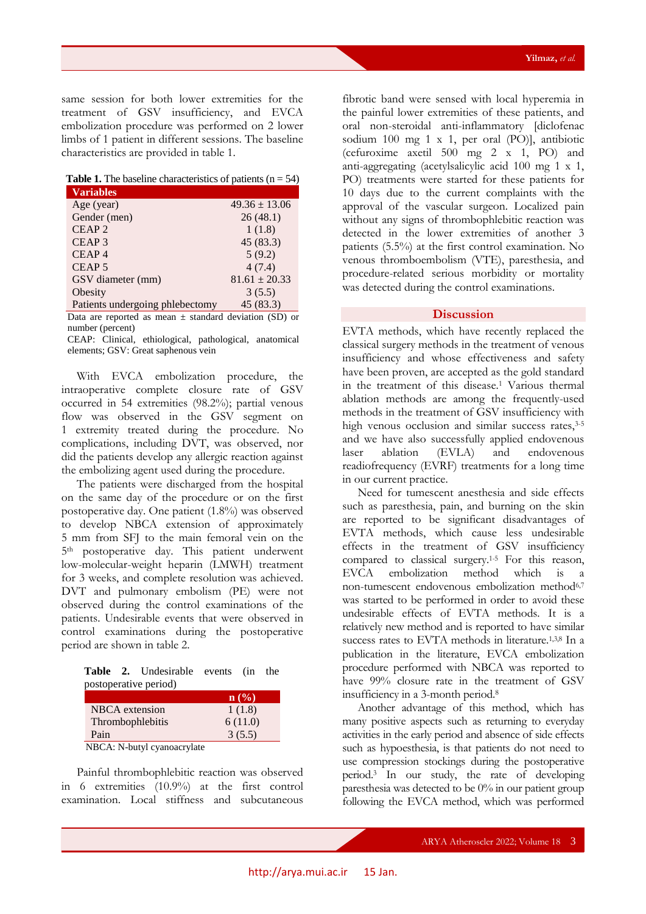same session for both lower extremities for the treatment of GSV insufficiency, and EVCA embolization procedure was performed on 2 lower limbs of 1 patient in different sessions. The baseline characteristics are provided in table 1.

|  | <b>Table 1.</b> The baseline characteristics of patients $(n = 54)$ |  |  |
|--|---------------------------------------------------------------------|--|--|
|  |                                                                     |  |  |

| Variables                       |                   |
|---------------------------------|-------------------|
| Age (year)                      | $49.36 \pm 13.06$ |
| Gender (men)                    | 26(48.1)          |
| CEAP <sub>2</sub>               | 1(1.8)            |
| CEAP <sub>3</sub>               | 45 (83.3)         |
| CEAP <sub>4</sub>               | 5(9.2)            |
| CEAP <sub>5</sub>               | 4(7.4)            |
| GSV diameter (mm)               | $81.61 \pm 20.33$ |
| Obesity                         | 3(5.5)            |
| Patients undergoing phlebectomy | 45 (83.3)         |

Data are reported as mean  $\pm$  standard deviation (SD) or number (percent)

CEAP: Clinical, ethiological, pathological, anatomical elements; GSV: Great saphenous vein

With EVCA embolization procedure, the intraoperative complete closure rate of GSV occurred in 54 extremities (98.2%); partial venous flow was observed in the GSV segment on 1 extremity treated during the procedure. No complications, including DVT, was observed, nor did the patients develop any allergic reaction against the embolizing agent used during the procedure.

The patients were discharged from the hospital on the same day of the procedure or on the first postoperative day. One patient (1.8%) was observed to develop NBCA extension of approximately 5 mm from SFJ to the main femoral vein on the 5th postoperative day. This patient underwent low-molecular-weight heparin (LMWH) treatment for 3 weeks, and complete resolution was achieved. DVT and pulmonary embolism (PE) were not observed during the control examinations of the patients. Undesirable events that were observed in control examinations during the postoperative period are shown in table 2.

**Table 2.** Undesirable events (in the postoperative period)

| n(%)    |
|---------|
| 1(1.8)  |
| 6(11.0) |
| 3(5.5)  |
|         |

NBCA: N-butyl cyanoacrylate

Painful thrombophlebitic reaction was observed in 6 extremities (10.9%) at the first control examination. Local stiffness and subcutaneous

fibrotic band were sensed with local hyperemia in the painful lower extremities of these patients, and oral non-steroidal anti-inflammatory [diclofenac sodium 100 mg 1 x 1, per oral (PO)], antibiotic (cefuroxime axetil 500 mg 2 x 1, PO) and anti-aggregating (acetylsalicylic acid 100 mg 1 x 1, PO) treatments were started for these patients for 10 days due to the current complaints with the approval of the vascular surgeon. Localized pain without any signs of thrombophlebitic reaction was detected in the lower extremities of another 3 patients (5.5%) at the first control examination. No venous thromboembolism (VTE), paresthesia, and procedure-related serious morbidity or mortality was detected during the control examinations.

## **Discussion**

EVTA methods, which have recently replaced the classical surgery methods in the treatment of venous insufficiency and whose effectiveness and safety have been proven, are accepted as the gold standard in the treatment of this disease.<sup>1</sup> Various thermal ablation methods are among the frequently-used methods in the treatment of GSV insufficiency with high venous occlusion and similar success rates, 3-5 and we have also successfully applied endovenous laser ablation (EVLA) and endovenous readiofrequency (EVRF) treatments for a long time in our current practice.

Need for tumescent anesthesia and side effects such as paresthesia, pain, and burning on the skin are reported to be significant disadvantages of EVTA methods, which cause less undesirable effects in the treatment of GSV insufficiency compared to classical surgery.1-5 For this reason, EVCA embolization method which is a non-tumescent endovenous embolization method<sup>6,7</sup> was started to be performed in order to avoid these undesirable effects of EVTA methods. It is a relatively new method and is reported to have similar success rates to EVTA methods in literature.<sup>1,3,8</sup> In a publication in the literature, EVCA embolization procedure performed with NBCA was reported to have 99% closure rate in the treatment of GSV insufficiency in a 3-month period.<sup>8</sup>

Another advantage of this method, which has many positive aspects such as returning to everyday activities in the early period and absence of side effects such as hypoesthesia, is that patients do not need to use compression stockings during the postoperative period.<sup>3</sup> In our study, the rate of developing paresthesia was detected to be 0% in our patient group following the EVCA method, which was performed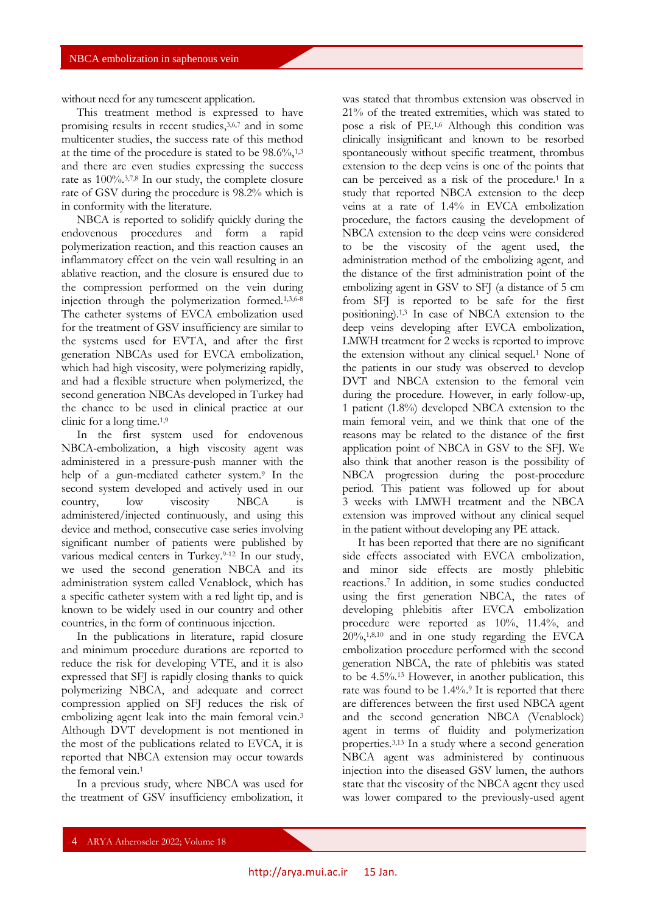without need for any tumescent application.

This treatment method is expressed to have promising results in recent studies,3,6,7 and in some multicenter studies, the success rate of this method at the time of the procedure is stated to be  $98.6\%, 1,3$ and there are even studies expressing the success rate as 100%.3,7,8 In our study, the complete closure rate of GSV during the procedure is 98.2% which is in conformity with the literature.

NBCA is reported to solidify quickly during the endovenous procedures and form a rapid polymerization reaction, and this reaction causes an inflammatory effect on the vein wall resulting in an ablative reaction, and the closure is ensured due to the compression performed on the vein during injection through the polymerization formed.1,3,6-8 The catheter systems of EVCA embolization used for the treatment of GSV insufficiency are similar to the systems used for EVTA, and after the first generation NBCAs used for EVCA embolization, which had high viscosity, were polymerizing rapidly, and had a flexible structure when polymerized, the second generation NBCAs developed in Turkey had the chance to be used in clinical practice at our clinic for a long time.1,9

In the first system used for endovenous NBCA-embolization, a high viscosity agent was administered in a pressure-push manner with the help of a gun-mediated catheter system.<sup>9</sup> In the second system developed and actively used in our country, low viscosity NBCA is administered/injected continuously, and using this device and method, consecutive case series involving significant number of patients were published by various medical centers in Turkey.<sup>9-12</sup> In our study, we used the second generation NBCA and its administration system called Venablock, which has a specific catheter system with a red light tip, and is known to be widely used in our country and other countries, in the form of continuous injection.

In the publications in literature, rapid closure and minimum procedure durations are reported to reduce the risk for developing VTE, and it is also expressed that SFJ is rapidly closing thanks to quick polymerizing NBCA, and adequate and correct compression applied on SFJ reduces the risk of embolizing agent leak into the main femoral vein.<sup>3</sup> Although DVT development is not mentioned in the most of the publications related to EVCA, it is reported that NBCA extension may occur towards the femoral vein.<sup>1</sup>

In a previous study, where NBCA was used for the treatment of GSV insufficiency embolization, it was stated that thrombus extension was observed in 21% of the treated extremities, which was stated to pose a risk of PE.1,6 Although this condition was clinically insignificant and known to be resorbed spontaneously without specific treatment, thrombus extension to the deep veins is one of the points that can be perceived as a risk of the procedure.<sup>1</sup> In a study that reported NBCA extension to the deep veins at a rate of 1.4% in EVCA embolization procedure, the factors causing the development of NBCA extension to the deep veins were considered to be the viscosity of the agent used, the administration method of the embolizing agent, and the distance of the first administration point of the embolizing agent in GSV to SFJ (a distance of 5 cm from SFJ is reported to be safe for the first positioning).1,3 In case of NBCA extension to the deep veins developing after EVCA embolization, LMWH treatment for 2 weeks is reported to improve the extension without any clinical sequel.<sup>1</sup> None of the patients in our study was observed to develop DVT and NBCA extension to the femoral vein during the procedure. However, in early follow-up, 1 patient (1.8%) developed NBCA extension to the main femoral vein, and we think that one of the reasons may be related to the distance of the first application point of NBCA in GSV to the SFJ. We also think that another reason is the possibility of NBCA progression during the post-procedure period. This patient was followed up for about 3 weeks with LMWH treatment and the NBCA extension was improved without any clinical sequel in the patient without developing any PE attack.

It has been reported that there are no significant side effects associated with EVCA embolization, and minor side effects are mostly phlebitic reactions.<sup>7</sup> In addition, in some studies conducted using the first generation NBCA, the rates of developing phlebitis after EVCA embolization procedure were reported as 10%, 11.4%, and  $20\%,1,8,10$  and in one study regarding the EVCA embolization procedure performed with the second generation NBCA, the rate of phlebitis was stated to be 4.5%.<sup>13</sup> However, in another publication, this rate was found to be 1.4%. <sup>9</sup> It is reported that there are differences between the first used NBCA agent and the second generation NBCA (Venablock) agent in terms of fluidity and polymerization properties.3,13 In a study where a second generation NBCA agent was administered by continuous injection into the diseased GSV lumen, the authors state that the viscosity of the NBCA agent they used was lower compared to the previously-used agent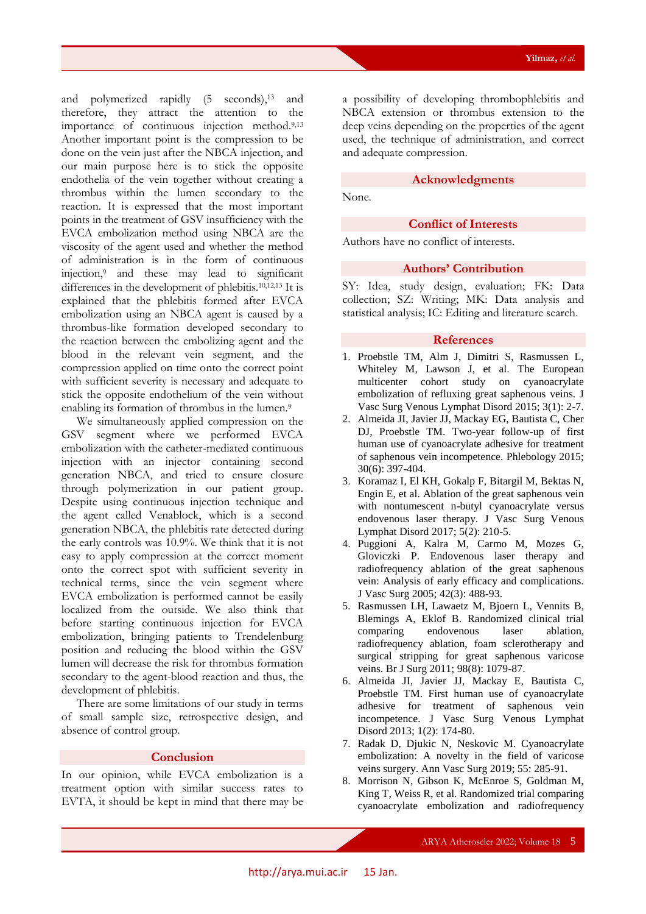and polymerized rapidly (5 seconds),<sup>13</sup> and therefore, they attract the attention to the importance of continuous injection method.9,13 Another important point is the compression to be done on the vein just after the NBCA injection, and our main purpose here is to stick the opposite endothelia of the vein together without creating a thrombus within the lumen secondary to the reaction. It is expressed that the most important points in the treatment of GSV insufficiency with the EVCA embolization method using NBCA are the viscosity of the agent used and whether the method of administration is in the form of continuous injection,<sup>9</sup> and these may lead to significant differences in the development of phlebitis.10,12,13 It is explained that the phlebitis formed after EVCA embolization using an NBCA agent is caused by a thrombus-like formation developed secondary to the reaction between the embolizing agent and the blood in the relevant vein segment, and the compression applied on time onto the correct point with sufficient severity is necessary and adequate to stick the opposite endothelium of the vein without enabling its formation of thrombus in the lumen.<sup>9</sup>

We simultaneously applied compression on the GSV segment where we performed EVCA embolization with the catheter-mediated continuous injection with an injector containing second generation NBCA, and tried to ensure closure through polymerization in our patient group. Despite using continuous injection technique and the agent called Venablock, which is a second generation NBCA, the phlebitis rate detected during the early controls was 10.9%. We think that it is not easy to apply compression at the correct moment onto the correct spot with sufficient severity in technical terms, since the vein segment where EVCA embolization is performed cannot be easily localized from the outside. We also think that before starting continuous injection for EVCA embolization, bringing patients to Trendelenburg position and reducing the blood within the GSV lumen will decrease the risk for thrombus formation secondary to the agent-blood reaction and thus, the development of phlebitis.

There are some limitations of our study in terms of small sample size, retrospective design, and absence of control group.

## **Conclusion**

In our opinion, while EVCA embolization is a treatment option with similar success rates to EVTA, it should be kept in mind that there may be

a possibility of developing thrombophlebitis and NBCA extension or thrombus extension to the deep veins depending on the properties of the agent used, the technique of administration, and correct and adequate compression.

### **Acknowledgments**

None.

## **Conflict of Interests**

Authors have no conflict of interests.

## **Authors' Contribution**

SY: Idea, study design, evaluation; FK: Data collection; SZ: Writing; MK: Data analysis and statistical analysis; IC: Editing and literature search.

## **References**

- 1. Proebstle TM, Alm J, Dimitri S, Rasmussen L, Whiteley M, Lawson J, et al. The European multicenter cohort study on cyanoacrylate embolization of refluxing great saphenous veins. J Vasc Surg Venous Lymphat Disord 2015; 3(1): 2-7.
- 2. Almeida JI, Javier JJ, Mackay EG, Bautista C, Cher DJ, Proebstle TM. Two-year follow-up of first human use of cyanoacrylate adhesive for treatment of saphenous vein incompetence. Phlebology 2015; 30(6): 397-404.
- 3. Koramaz I, El KH, Gokalp F, Bitargil M, Bektas N, Engin E, et al. Ablation of the great saphenous vein with nontumescent n-butyl cyanoacrylate versus endovenous laser therapy. J Vasc Surg Venous Lymphat Disord 2017; 5(2): 210-5.
- 4. Puggioni A, Kalra M, Carmo M, Mozes G, Gloviczki P. Endovenous laser therapy and radiofrequency ablation of the great saphenous vein: Analysis of early efficacy and complications. J Vasc Surg 2005; 42(3): 488-93.
- 5. Rasmussen LH, Lawaetz M, Bjoern L, Vennits B, Blemings A, Eklof B. Randomized clinical trial comparing endovenous laser ablation, radiofrequency ablation, foam sclerotherapy and surgical stripping for great saphenous varicose veins. Br J Surg 2011; 98(8): 1079-87.
- 6. Almeida JI, Javier JJ, Mackay E, Bautista C, Proebstle TM. First human use of cyanoacrylate adhesive for treatment of saphenous vein incompetence. J Vasc Surg Venous Lymphat Disord 2013; 1(2): 174-80.
- 7. Radak D, Djukic N, Neskovic M. Cyanoacrylate embolization: A novelty in the field of varicose veins surgery. Ann Vasc Surg 2019; 55: 285-91.
- 8. Morrison N, Gibson K, McEnroe S, Goldman M, King T, Weiss R, et al. Randomized trial comparing cyanoacrylate embolization and radiofrequency